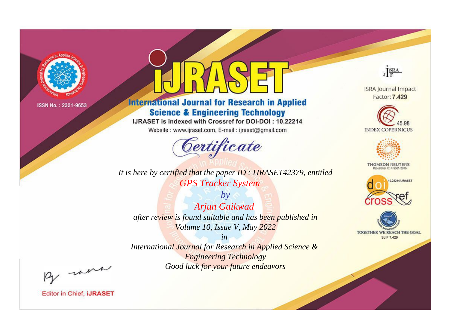

# **International Journal for Research in Applied Science & Engineering Technology**

IJRASET is indexed with Crossref for DOI-DOI: 10.22214

Website: www.ijraset.com, E-mail: ijraset@gmail.com



*It is here by certified that the paper ID : IJRASET42379, entitled GPS Tracker System*

*by Arjun Gaikwad after review is found suitable and has been published in Volume 10, Issue V, May 2022*

*in International Journal for Research in Applied Science & Engineering Technology Good luck for your future endeavors*



**ISRA Journal Impact** Factor: 7.429





**THOMSON REUTERS** 





By morn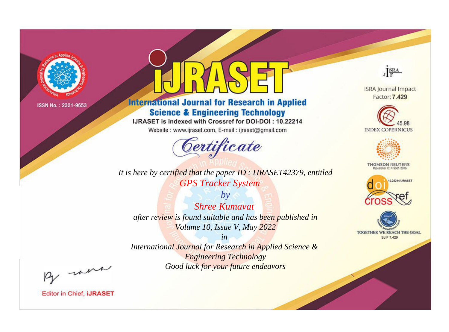

# **International Journal for Research in Applied Science & Engineering Technology**

IJRASET is indexed with Crossref for DOI-DOI: 10.22214

Website: www.ijraset.com, E-mail: ijraset@gmail.com



*It is here by certified that the paper ID : IJRASET42379, entitled GPS Tracker System*

*by Shree Kumavat after review is found suitable and has been published in Volume 10, Issue V, May 2022*

*in International Journal for Research in Applied Science & Engineering Technology Good luck for your future endeavors*



**ISRA Journal Impact** Factor: 7.429





**THOMSON REUTERS** 





By morn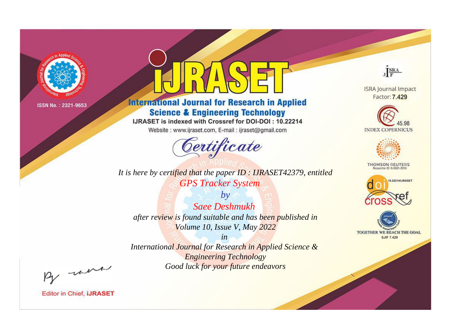

# **International Journal for Research in Applied Science & Engineering Technology**

IJRASET is indexed with Crossref for DOI-DOI: 10.22214

Website: www.ijraset.com, E-mail: ijraset@gmail.com



*It is here by certified that the paper ID : IJRASET42379, entitled GPS Tracker System*

*by Saee Deshmukh after review is found suitable and has been published in Volume 10, Issue V, May 2022*

*in International Journal for Research in Applied Science & Engineering Technology Good luck for your future endeavors*



**ISRA Journal Impact** Factor: 7.429





**THOMSON REUTERS** 





By morn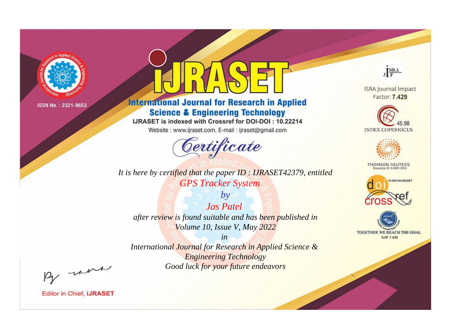

# **International Journal for Research in Applied Science & Engineering Technology**

IJRASET is indexed with Crossref for DOI-DOI: 10.22214

Website: www.ijraset.com, E-mail: ijraset@gmail.com



**ISRA Journal Impact** Factor: 7.429

JERA





**THOMSON REUTERS** 



TOGETHER WE REACH THE GOAL **SJIF 7.429** 

*It is here by certified that the paper ID : IJRASET42379, entitled GPS Tracker System*

*Jas Patel after review is found suitable and has been published in Volume 10, Issue V, May 2022*

*by*

*in International Journal for Research in Applied Science &* 

*Engineering Technology Good luck for your future endeavors*

By morn